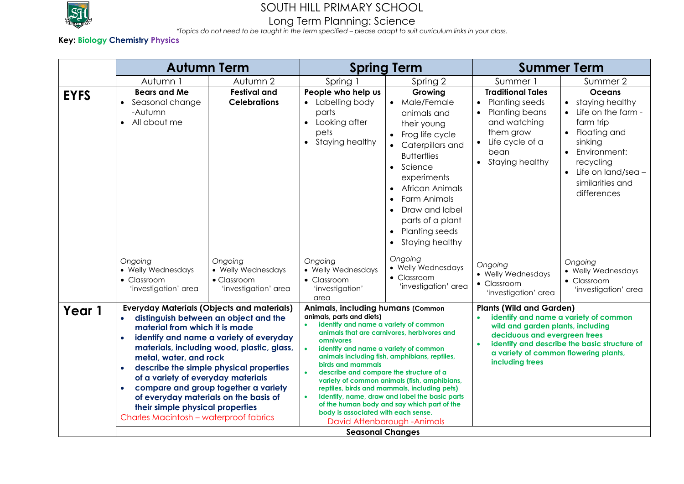

## Long Term Planning: Science

*\*Topics do not need to be taught in the term specified – please adapt to suit curriculum links in your class.*

### **Key: Biology Chemistry Physics**

|             | <b>Autumn Term</b>                                                                                                                                                                                                                                                                                                                                                                                                                                                                                                  |                                                                              | <b>Spring Term</b>                                                                                                                                                                                                                                                                                                                                                                                                                                                                                                                                                                                                                            |                                                                                                                                                                                                                                                                                                                  | <b>Summer Term</b>                                                                                                                                                                                                                                                      |                                                                                                                                                                                                        |
|-------------|---------------------------------------------------------------------------------------------------------------------------------------------------------------------------------------------------------------------------------------------------------------------------------------------------------------------------------------------------------------------------------------------------------------------------------------------------------------------------------------------------------------------|------------------------------------------------------------------------------|-----------------------------------------------------------------------------------------------------------------------------------------------------------------------------------------------------------------------------------------------------------------------------------------------------------------------------------------------------------------------------------------------------------------------------------------------------------------------------------------------------------------------------------------------------------------------------------------------------------------------------------------------|------------------------------------------------------------------------------------------------------------------------------------------------------------------------------------------------------------------------------------------------------------------------------------------------------------------|-------------------------------------------------------------------------------------------------------------------------------------------------------------------------------------------------------------------------------------------------------------------------|--------------------------------------------------------------------------------------------------------------------------------------------------------------------------------------------------------|
|             | Autumn 1                                                                                                                                                                                                                                                                                                                                                                                                                                                                                                            | Autumn 2                                                                     | Spring 1                                                                                                                                                                                                                                                                                                                                                                                                                                                                                                                                                                                                                                      | Spring 2                                                                                                                                                                                                                                                                                                         | Summer 1                                                                                                                                                                                                                                                                | Summer 2                                                                                                                                                                                               |
| <b>EYFS</b> | <b>Bears and Me</b><br>Seasonal change<br>-Autumn<br>All about me                                                                                                                                                                                                                                                                                                                                                                                                                                                   | <b>Festival and</b><br><b>Celebrations</b>                                   | People who help us<br>Labelling body<br>$\bullet$<br>parts<br>Looking after<br>$\bullet$<br>pets<br>Staying healthy<br>$\bullet$                                                                                                                                                                                                                                                                                                                                                                                                                                                                                                              | Growing<br>• Male/Female<br>animals and<br>their young<br>Frog life cycle<br>• Caterpillars and<br><b>Butterflies</b><br>• Science<br>experiments<br><b>African Animals</b><br>$\bullet$<br><b>Farm Animals</b><br>Draw and label<br>parts of a plant<br><b>Planting seeds</b><br>$\bullet$<br>• Staying healthy | <b>Traditional Tales</b><br><b>Planting seeds</b><br>$\bullet$<br>Planting beans<br>and watching<br>them grow<br>Life cycle of a<br>bean<br>• Staying healthy                                                                                                           | <b>Oceans</b><br>• staying healthy<br>• Life on the farm -<br>farm trip<br>• Floating and<br>sinking<br>• Environment:<br>recycling<br>$\bullet$ Life on land/sea -<br>similarities and<br>differences |
|             | Ongoing<br>• Welly Wednesdays<br>$\bullet$ Classroom<br>'investigation' area                                                                                                                                                                                                                                                                                                                                                                                                                                        | Ongoing<br>• Welly Wednesdays<br>$\bullet$ Classroom<br>'investigation' area | Ongoing<br>• Welly Wednesdays<br>$\bullet$ Classroom<br>'investigation'<br>area                                                                                                                                                                                                                                                                                                                                                                                                                                                                                                                                                               | Ongoing<br>• Welly Wednesdays<br>• Classroom<br>'investigation' area                                                                                                                                                                                                                                             | Ongoing<br>• Welly Wednesdays<br>• Classroom<br>'investigation' area                                                                                                                                                                                                    | Ongoing<br>• Welly Wednesdays<br>$\bullet$ Classroom<br>'investigation' area                                                                                                                           |
| Year 1      | <b>Everyday Materials (Objects and materials)</b><br>distinguish between an object and the<br>$\bullet$<br>material from which it is made<br>identify and name a variety of everyday<br>materials, including wood, plastic, glass,<br>metal, water, and rock<br>describe the simple physical properties<br>of a variety of everyday materials<br>compare and group together a variety<br>of everyday materials on the basis of<br>their simple physical properties<br><b>Charles Macintosh - waterproof fabrics</b> |                                                                              | Animals, including humans (Common<br>animals, parts and diets)<br>identify and name a variety of common<br>$\bullet$<br>animals that are carnivores, herbivores and<br>omnivores<br>identify and name a variety of common<br>animals including fish, amphibians, reptiles,<br>birds and mammals<br>describe and compare the structure of a<br>variety of common animals (fish, amphibians,<br>reptiles, birds and mammals, including pets)<br>Identify, name, draw and label the basic parts<br>of the human body and say which part of the<br>body is associated with each sense.<br>David Attenborough - Animals<br><b>Seasonal Changes</b> |                                                                                                                                                                                                                                                                                                                  | <b>Plants (Wild and Garden)</b><br>identify and name a variety of common<br>wild and garden plants, including<br>deciduous and evergreen trees<br>identify and describe the basic structure of<br>$\bullet$<br>a variety of common flowering plants,<br>including trees |                                                                                                                                                                                                        |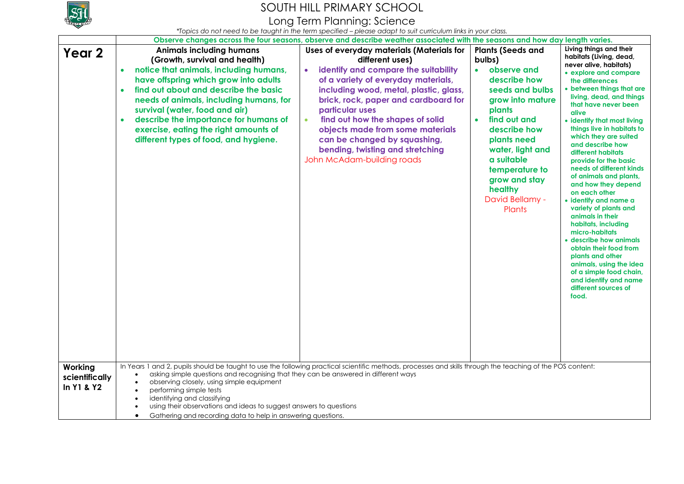

Long Term Planning: Science

|                                         | Observe changes across the four seasons, observe and describe weather associated with the seasons and how day length varies.                                                                                                                                                                                                                                                                                                                                                                                                                                    |                                                                                                                                                                                                                                                                                                                                                                                                                                         |                                                                                                                                                                                                                                                                                                          |                                                                                                                                                                                                                                                                                                                                                                                                                                                                                                                                                                                                                                                                                                                                                                                  |  |
|-----------------------------------------|-----------------------------------------------------------------------------------------------------------------------------------------------------------------------------------------------------------------------------------------------------------------------------------------------------------------------------------------------------------------------------------------------------------------------------------------------------------------------------------------------------------------------------------------------------------------|-----------------------------------------------------------------------------------------------------------------------------------------------------------------------------------------------------------------------------------------------------------------------------------------------------------------------------------------------------------------------------------------------------------------------------------------|----------------------------------------------------------------------------------------------------------------------------------------------------------------------------------------------------------------------------------------------------------------------------------------------------------|----------------------------------------------------------------------------------------------------------------------------------------------------------------------------------------------------------------------------------------------------------------------------------------------------------------------------------------------------------------------------------------------------------------------------------------------------------------------------------------------------------------------------------------------------------------------------------------------------------------------------------------------------------------------------------------------------------------------------------------------------------------------------------|--|
| Year 2                                  | <b>Animals including humans</b><br>(Growth, survival and health)<br>notice that animals, including humans,<br>$\bullet$<br>have offspring which grow into adults<br>find out about and describe the basic<br>$\bullet$<br>needs of animals, including humans, for<br>survival (water, food and air)<br>describe the importance for humans of<br>exercise, eating the right amounts of<br>different types of food, and hygiene.                                                                                                                                  | Uses of everyday materials (Materials for<br>different uses)<br>identify and compare the suitability<br>of a variety of everyday materials,<br>including wood, metal, plastic, glass,<br>brick, rock, paper and cardboard for<br>particular uses<br>find out how the shapes of solid<br>$\bullet$<br>objects made from some materials<br>can be changed by squashing,<br>bending, twisting and stretching<br>John McAdam-building roads | <b>Plants (Seeds and</b><br>bulbs)<br>observe and<br>$\bullet$<br>describe how<br>seeds and bulbs<br>grow into mature<br>plants<br>find out and<br>$\bullet$<br>describe how<br>plants need<br>water, light and<br>a suitable<br>temperature to<br>grow and stay<br>healthy<br>David Bellamy -<br>Plants | Living things and their<br>habitats (Living, dead,<br>never alive, habitats)<br>• explore and compare<br>the differences<br>• between things that are<br>living, dead, and things<br>that have never been<br>alive<br>• identify that most living<br>things live in habitats to<br>which they are suited<br>and describe how<br>different habitats<br>provide for the basic<br>needs of different kinds<br>of animals and plants,<br>and how they depend<br>on each other<br>· identify and name a<br>variety of plants and<br>animals in their<br>habitats, including<br>micro-habitats<br>• describe how animals<br>obtain their food from<br>plants and other<br>animals, using the idea<br>of a simple food chain,<br>and identify and name<br>different sources of<br>food. |  |
|                                         |                                                                                                                                                                                                                                                                                                                                                                                                                                                                                                                                                                 |                                                                                                                                                                                                                                                                                                                                                                                                                                         |                                                                                                                                                                                                                                                                                                          |                                                                                                                                                                                                                                                                                                                                                                                                                                                                                                                                                                                                                                                                                                                                                                                  |  |
| Working<br>scientifically<br>In Y1 & Y2 | In Years 1 and 2, pupils should be taught to use the following practical scientific methods, processes and skills through the teaching of the POS content:<br>asking simple questions and recognising that they can be answered in different ways<br>$\bullet$<br>observing closely, using simple equipment<br>$\bullet$<br>performing simple tests<br>$\bullet$<br>identifying and classifying<br>$\bullet$<br>using their observations and ideas to suggest answers to questions<br>Gathering and recording data to help in answering questions.<br>$\bullet$ |                                                                                                                                                                                                                                                                                                                                                                                                                                         |                                                                                                                                                                                                                                                                                                          |                                                                                                                                                                                                                                                                                                                                                                                                                                                                                                                                                                                                                                                                                                                                                                                  |  |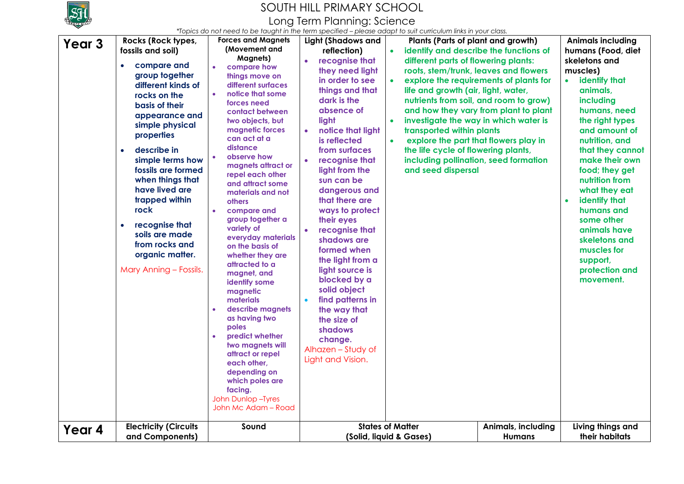

Long Term Planning: Science

| Year <sub>3</sub> | Rocks (Rock types,<br>fossils and soil)<br>compare and<br>group together<br>different kinds of<br>rocks on the<br>basis of their<br>appearance and<br>simple physical<br>properties<br>describe in<br>$\bullet$<br>simple terms how<br>fossils are formed<br>when things that<br>have lived are<br>trapped within<br>rock<br>recognise that<br>$\bullet$<br>soils are made<br>from rocks and<br>organic matter.<br>Mary Anning - Fossils. | <b>Forces and Magnets</b><br>(Movement and<br><b>Magnets)</b><br>compare how<br>things move on<br>different surfaces<br>notice that some<br>forces need<br>contact between<br>two objects, but<br>magnetic forces<br>can act at a<br>distance<br>observe how<br>magnets attract or<br>repel each other<br>and attract some<br>materials and not<br><b>others</b><br>compare and<br>group together a<br>variety of<br>everyday materials<br>on the basis of<br>whether they are<br>attracted to a<br>magnet, and<br>identify some<br>magnetic<br>materials<br>describe magnets<br>as having two<br>poles<br>predict whether<br>two magnets will<br>attract or repel<br>each other,<br>depending on<br>which poles are<br>facing.<br>John Dunlop - Tyres<br>John Mc Adam - Road | <b>Light (Shadows and</b><br>reflection)<br>recognise that<br>$\bullet$<br>they need light<br>in order to see<br>things and that<br>dark is the<br>absence of<br>light<br>notice that light<br>is reflected<br>from surfaces<br>recognise that<br>light from the<br>sun can be<br>dangerous and<br>that there are<br>ways to protect<br>their eyes<br>recognise that<br>shadows are<br>formed when<br>the light from a<br>light source is<br>blocked by a<br>solid object<br>find patterns in<br>the way that<br>the size of<br>shadows<br>change.<br>Alhazen - Study of<br>Light and Vision. | Plants (Parts of plant and growth)<br>identify and describe the functions of<br>different parts of flowering plants:<br>roots, stem/trunk, leaves and flowers<br>life and growth (air, light, water,<br>investigate the way in which water is<br>transported within plants<br>$\bullet$<br>explore the part that flowers play in<br>the life cycle of flowering plants,<br>including pollination, seed formation<br>and seed dispersal | explore the requirements of plants for<br>nutrients from soil, and room to grow)<br>and how they vary from plant to plant | <b>Animals including</b><br>humans (Food, diet<br>skeletons and<br>muscles)<br>identify that<br>animals,<br>including<br>humans, need<br>the right types<br>and amount of<br>nutrition, and<br>that they cannot<br>make their own<br>food; they get<br>nutrition from<br>what they eat<br>identify that<br>$\bullet$<br>humans and<br>some other<br>animals have<br>skeletons and<br>muscles for<br>support,<br>protection and<br>movement. |
|-------------------|-------------------------------------------------------------------------------------------------------------------------------------------------------------------------------------------------------------------------------------------------------------------------------------------------------------------------------------------------------------------------------------------------------------------------------------------|-------------------------------------------------------------------------------------------------------------------------------------------------------------------------------------------------------------------------------------------------------------------------------------------------------------------------------------------------------------------------------------------------------------------------------------------------------------------------------------------------------------------------------------------------------------------------------------------------------------------------------------------------------------------------------------------------------------------------------------------------------------------------------|-----------------------------------------------------------------------------------------------------------------------------------------------------------------------------------------------------------------------------------------------------------------------------------------------------------------------------------------------------------------------------------------------------------------------------------------------------------------------------------------------------------------------------------------------------------------------------------------------|----------------------------------------------------------------------------------------------------------------------------------------------------------------------------------------------------------------------------------------------------------------------------------------------------------------------------------------------------------------------------------------------------------------------------------------|---------------------------------------------------------------------------------------------------------------------------|---------------------------------------------------------------------------------------------------------------------------------------------------------------------------------------------------------------------------------------------------------------------------------------------------------------------------------------------------------------------------------------------------------------------------------------------|
| Year 4            | <b>Electricity (Circuits</b><br>and Components)                                                                                                                                                                                                                                                                                                                                                                                           | Sound                                                                                                                                                                                                                                                                                                                                                                                                                                                                                                                                                                                                                                                                                                                                                                         |                                                                                                                                                                                                                                                                                                                                                                                                                                                                                                                                                                                               | <b>States of Matter</b><br>(Solid, liquid & Gases)                                                                                                                                                                                                                                                                                                                                                                                     | Animals, including<br><b>Humans</b>                                                                                       | Living things and<br>their habitats                                                                                                                                                                                                                                                                                                                                                                                                         |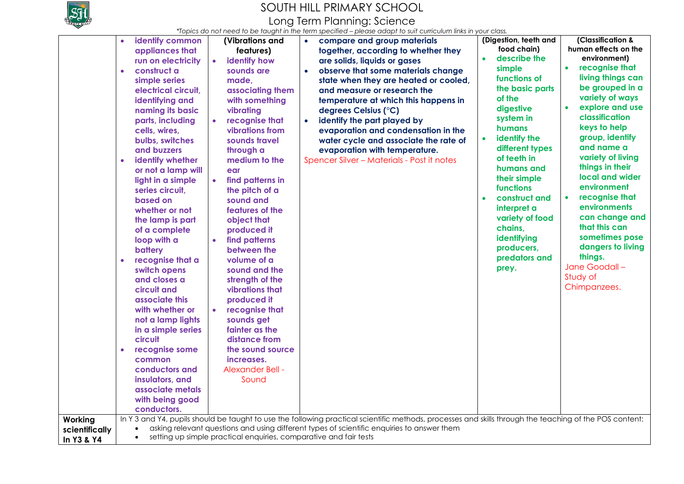

Long Term Planning: Science

*\*Topics do not need to be taught in the term specified – please adapt to suit curriculum links in your class.*

| Working                      | identify common<br>$\bullet$<br>appliances that<br>run on electricity<br>construct a<br>$\bullet$<br>simple series<br>electrical circuit,<br>identifying and<br>naming its basic<br>parts, including<br>cells, wires,<br>bulbs, switches<br>and buzzers<br>identify whether<br>$\bullet$<br>or not a lamp will<br>light in a simple<br>series circuit.<br>based on<br>whether or not<br>the lamp is part<br>of a complete<br>loop with a<br>battery<br>recognise that a<br>$\bullet$<br>switch opens<br>and closes a<br>circuit and<br>associate this<br>with whether or<br>not a lamp lights<br>in a simple series<br>circuit<br>recognise some<br>$\bullet$<br>common<br>conductors and<br>insulators, and<br>associate metals<br>with being good<br>conductors. | (Vibrations and<br>features)<br>identify how<br>$\bullet$<br>sounds are<br>made,<br>associating them<br>with something<br>vibrating<br>recognise that<br>$\bullet$<br>vibrations from<br>sounds travel<br>through a<br>medium to the<br>ear<br>$\bullet$<br>find patterns in<br>the pitch of a<br>sound and<br>features of the<br>object that<br>produced it<br>find patterns<br>$\bullet$<br>between the<br>volume of a<br>sound and the<br>strength of the<br>vibrations that<br>produced it<br>recognise that<br>$\bullet$<br>sounds get<br>fainter as the<br>distance from<br>the sound source<br>increases.<br>Alexander Bell -<br>Sound | compare and group materials<br>$\bullet$<br>together, according to whether they<br>are solids, liquids or gases<br>observe that some materials change<br>state when they are heated or cooled,<br>and measure or research the<br>temperature at which this happens in<br>degrees Celsius (°C)<br>identify the part played by<br>$\bullet$<br>evaporation and condensation in the<br>water cycle and associate the rate of<br>evaporation with temperature.<br>Spencer Silver - Materials - Post it notes<br>In Y 3 and Y4, pupils should be taught to use the following practical scientific methods, processes and skills through the teaching of the POS content: | (Digestion, teeth and<br>food chain)<br>describe the<br>$\bullet$<br>simple<br>functions of<br>the basic parts<br>of the<br>digestive<br>system in<br>humans<br>identify the<br>$\bullet$<br>different types<br>of teeth in<br>humans and<br>their simple<br>functions<br>construct and<br>$\bullet$<br>interpret a<br>variety of food<br>chains,<br>identifying<br>producers,<br>predators and<br>prey. | (Classification &<br>human effects on the<br>environment)<br>recognise that<br>$\bullet$<br>living things can<br>be grouped in a<br>variety of ways<br>explore and use<br>$\bullet$<br>classification<br>keys to help<br>group, identify<br>and name a<br>variety of living<br>things in their<br>local and wider<br>environment<br>recognise that<br>$\bullet$<br>environments<br>can change and<br>that this can<br>sometimes pose<br>dangers to living<br>things.<br>Jane Goodall-<br>Study of<br>Chimpanzees. |
|------------------------------|--------------------------------------------------------------------------------------------------------------------------------------------------------------------------------------------------------------------------------------------------------------------------------------------------------------------------------------------------------------------------------------------------------------------------------------------------------------------------------------------------------------------------------------------------------------------------------------------------------------------------------------------------------------------------------------------------------------------------------------------------------------------|-----------------------------------------------------------------------------------------------------------------------------------------------------------------------------------------------------------------------------------------------------------------------------------------------------------------------------------------------------------------------------------------------------------------------------------------------------------------------------------------------------------------------------------------------------------------------------------------------------------------------------------------------|---------------------------------------------------------------------------------------------------------------------------------------------------------------------------------------------------------------------------------------------------------------------------------------------------------------------------------------------------------------------------------------------------------------------------------------------------------------------------------------------------------------------------------------------------------------------------------------------------------------------------------------------------------------------|----------------------------------------------------------------------------------------------------------------------------------------------------------------------------------------------------------------------------------------------------------------------------------------------------------------------------------------------------------------------------------------------------------|-------------------------------------------------------------------------------------------------------------------------------------------------------------------------------------------------------------------------------------------------------------------------------------------------------------------------------------------------------------------------------------------------------------------------------------------------------------------------------------------------------------------|
| scientifically<br>In Y3 & Y4 | $\bullet$                                                                                                                                                                                                                                                                                                                                                                                                                                                                                                                                                                                                                                                                                                                                                          | setting up simple practical enquiries, comparative and fair tests                                                                                                                                                                                                                                                                                                                                                                                                                                                                                                                                                                             | asking relevant questions and using different types of scientific enquiries to answer them                                                                                                                                                                                                                                                                                                                                                                                                                                                                                                                                                                          |                                                                                                                                                                                                                                                                                                                                                                                                          |                                                                                                                                                                                                                                                                                                                                                                                                                                                                                                                   |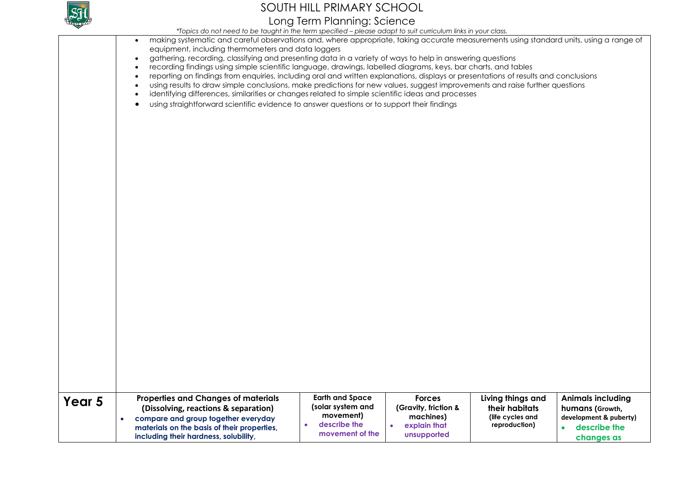

## SOUTH HILL PRIMARY SCHOOL Long Term Planning: Science

*\*Topics do not need to be taught in the term specified – please adapt to suit curriculum links in your class.*

|        | <u> TUDICS QU'ITULITIE O TU DE TOUGHILITITIE TENNI SPECINEU – PIEUSE QUUDI TU SUN CUNCUUN INIINS IN YUUL CIUSS.</u><br>making systematic and careful observations and, where appropriate, taking accurate measurements using standard units, using a range of<br>$\bullet$<br>equipment, including thermometers and data loggers<br>gathering, recording, classifying and presenting data in a variety of ways to help in answering questions<br>$\bullet$<br>recording findings using simple scientific language, drawings, labelled diagrams, keys, bar charts, and tables<br>$\bullet$<br>reporting on findings from enquiries, including oral and written explanations, displays or presentations of results and conclusions<br>using results to draw simple conclusions, make predictions for new values, suggest improvements and raise further questions<br>$\bullet$<br>identifying differences, similarities or changes related to simple scientific ideas and processes<br>$\bullet$<br>using straightforward scientific evidence to answer questions or to support their findings<br>$\bullet$ |
|--------|-----------------------------------------------------------------------------------------------------------------------------------------------------------------------------------------------------------------------------------------------------------------------------------------------------------------------------------------------------------------------------------------------------------------------------------------------------------------------------------------------------------------------------------------------------------------------------------------------------------------------------------------------------------------------------------------------------------------------------------------------------------------------------------------------------------------------------------------------------------------------------------------------------------------------------------------------------------------------------------------------------------------------------------------------------------------------------------------------------------|
| Year 5 | <b>Earth and Space</b><br><b>Properties and Changes of materials</b><br><b>Forces</b><br>Living things and<br><b>Animals including</b><br>(solar system and<br>(Gravity, friction &<br>their habitats<br>humans (Growth,<br>(Dissolving, reactions & separation)<br>movement)<br>machines)<br>(life cycles and<br>development & puberty)<br>compare and group together everyday<br>$\bullet$<br>describe the<br>explain that<br>reproduction)<br>describe the<br>materials on the basis of their properties,<br>movement of the<br>unsupported<br>including their hardness, solubility,<br>changes as                                                                                                                                                                                                                                                                                                                                                                                                                                                                                                     |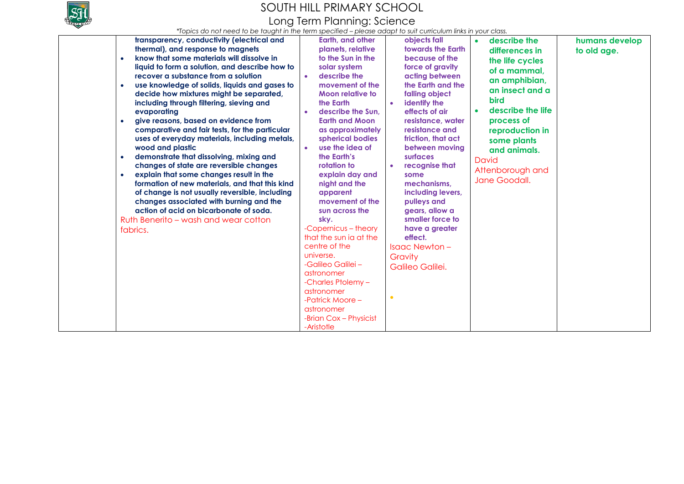

## SOUTH HILL PRIMARY SCHOOL Long Term Planning: Science

*\*Topics do not need to be taught in the term specified – please adapt to suit curriculum links in your class.*

| transparency, conductivity (electrical and                 | Earth, and other               | objects fall         | describe the<br>$\bullet$      | humans develop |
|------------------------------------------------------------|--------------------------------|----------------------|--------------------------------|----------------|
| thermal), and response to magnets                          | planets, relative              | towards the Earth    | differences in                 | to old age.    |
| know that some materials will dissolve in<br>$\bullet$     | to the Sun in the              | because of the       | the life cycles                |                |
| liquid to form a solution, and describe how to             | solar system                   | force of gravity     | of a mammal,                   |                |
| recover a substance from a solution                        | describe the<br>$\bullet$      | acting between       |                                |                |
| use knowledge of solids, liquids and gases to<br>$\bullet$ | movement of the                | the Earth and the    | an amphibian,                  |                |
| decide how mixtures might be separated,                    | Moon relative to               | falling object       | an insect and a                |                |
| including through filtering, sieving and                   | the Earth                      | identify the         | <b>bird</b>                    |                |
| evaporating                                                | describe the Sun.<br>$\bullet$ | effects of air       | describe the life<br>$\bullet$ |                |
| give reasons, based on evidence from<br>$\bullet$          | <b>Earth and Moon</b>          | resistance, water    | process of                     |                |
| comparative and fair tests, for the particular             | as approximately               | resistance and       | reproduction in                |                |
| uses of everyday materials, including metals,              | spherical bodies               | friction, that act   | some plants                    |                |
| wood and plastic                                           | use the idea of<br>$\bullet$   | between moving       | and animals.                   |                |
| demonstrate that dissolving, mixing and<br>$\bullet$       | the Earth's                    | surfaces             | David                          |                |
| changes of state are reversible changes                    | rotation to                    | recognise that       |                                |                |
| explain that some changes result in the<br>$\bullet$       | explain day and                | some                 | Attenborough and               |                |
| formation of new materials, and that this kind             | night and the                  | mechanisms.          | Jane Goodall.                  |                |
| of change is not usually reversible, including             | apparent                       | including levers.    |                                |                |
| changes associated with burning and the                    | movement of the                | pulleys and          |                                |                |
| action of acid on bicarbonate of soda.                     | sun across the                 | gears, allow a       |                                |                |
| Ruth Benerito – wash and wear cotton                       | sky.                           | smaller force to     |                                |                |
| fabrics.                                                   | -Copernicus - theory           | have a greater       |                                |                |
|                                                            | that the sun ia at the         | effect.              |                                |                |
|                                                            | centre of the                  | <b>Isaac Newton-</b> |                                |                |
|                                                            | universe.                      | Gravity              |                                |                |
|                                                            | -Galileo Galilei -             | Galileo Galilei.     |                                |                |
|                                                            | astronomer                     |                      |                                |                |
|                                                            | -Charles Ptolemy-              |                      |                                |                |
|                                                            | astronomer                     |                      |                                |                |
|                                                            | -Patrick Moore -               |                      |                                |                |
|                                                            | astronomer                     |                      |                                |                |
|                                                            | -Brian Cox - Physicist         |                      |                                |                |
|                                                            | -Aristotle                     |                      |                                |                |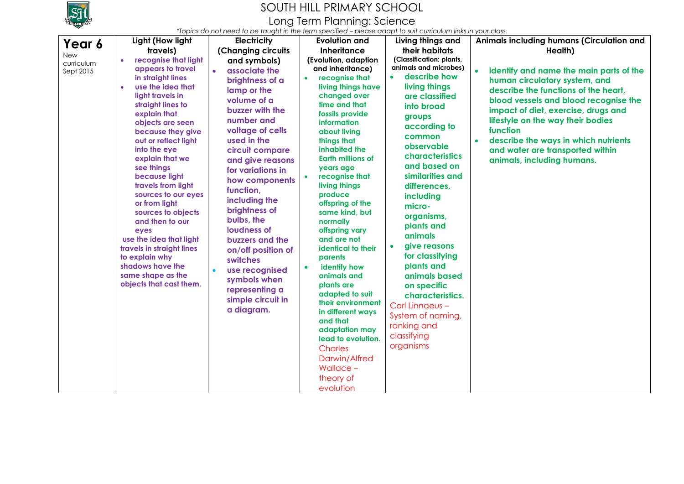

Long Term Planning: Science

| Year 6                  | Light (How light                                                                                                                                                                                                                                                                                                                                                                                                                                                                                                                             | <b>Electricity</b>                                                                                                                                                                                                                                                                                                                                                                                                                                                    | <b>Evolution and</b>                                                                                                                                                                                                                                                                                                                                                                                                                                                                                                                                                                                                                                     | Living things and                                                                                                                                                                                                                                                                                                                                                                                                                                                                                                       | Animals including humans (Circulation and                                                                                                                                                                                                                                                                                                                                |
|-------------------------|----------------------------------------------------------------------------------------------------------------------------------------------------------------------------------------------------------------------------------------------------------------------------------------------------------------------------------------------------------------------------------------------------------------------------------------------------------------------------------------------------------------------------------------------|-----------------------------------------------------------------------------------------------------------------------------------------------------------------------------------------------------------------------------------------------------------------------------------------------------------------------------------------------------------------------------------------------------------------------------------------------------------------------|----------------------------------------------------------------------------------------------------------------------------------------------------------------------------------------------------------------------------------------------------------------------------------------------------------------------------------------------------------------------------------------------------------------------------------------------------------------------------------------------------------------------------------------------------------------------------------------------------------------------------------------------------------|-------------------------------------------------------------------------------------------------------------------------------------------------------------------------------------------------------------------------------------------------------------------------------------------------------------------------------------------------------------------------------------------------------------------------------------------------------------------------------------------------------------------------|--------------------------------------------------------------------------------------------------------------------------------------------------------------------------------------------------------------------------------------------------------------------------------------------------------------------------------------------------------------------------|
| <b>New</b>              | travels)                                                                                                                                                                                                                                                                                                                                                                                                                                                                                                                                     | (Changing circuits                                                                                                                                                                                                                                                                                                                                                                                                                                                    | <b>Inheritance</b>                                                                                                                                                                                                                                                                                                                                                                                                                                                                                                                                                                                                                                       | their habitats                                                                                                                                                                                                                                                                                                                                                                                                                                                                                                          | Health)                                                                                                                                                                                                                                                                                                                                                                  |
| curriculum<br>Sept 2015 | recognise that light<br>appears to travel<br>in straight lines<br>use the idea that<br>light travels in<br>straight lines to<br>explain that<br>objects are seen<br>because they give<br>out or reflect light<br>into the eye<br>explain that we<br>see things<br>because light<br>travels from light<br>sources to our eyes<br>or from light<br>sources to objects<br>and then to our<br>eyes<br>use the idea that light<br>travels in straight lines<br>to explain why<br>shadows have the<br>same shape as the<br>objects that cast them. | and symbols)<br>$\bullet$<br>associate the<br>brightness of a<br>lamp or the<br>volume of a<br>buzzer with the<br>number and<br>voltage of cells<br>used in the<br>circuit compare<br>and give reasons<br>for variations in<br>how components<br>function,<br>including the<br>brightness of<br>bulbs, the<br>loudness of<br>buzzers and the<br>on/off position of<br>switches<br>use recognised<br>symbols when<br>representing a<br>simple circuit in<br>a diagram. | (Evolution, adaption<br>and inheritance)<br>recognise that<br>living things have<br>changed over<br>time and that<br>fossils provide<br>information<br>about living<br>things that<br>inhabited the<br><b>Earth millions of</b><br>years ago<br>recognise that<br>living things<br>produce<br>offspring of the<br>same kind, but<br>normally<br>offspring vary<br>and are not<br>identical to their<br>parents<br>identify how<br>animals and<br>plants are<br>adapted to suit<br>their environment<br>in different ways<br>and that<br>adaptation may<br>lead to evolution.<br><b>Charles</b><br>Darwin/Alfred<br>Wallace $-$<br>theory of<br>evolution | (Classification: plants,<br>animals and microbes)<br>• describe how<br>living things<br>are classified<br>into broad<br>groups<br>according to<br>common<br>observable<br><b>characteristics</b><br>and based on<br>similarities and<br>differences,<br>including<br>micro-<br>organisms,<br>plants and<br>animals<br>give reasons<br>$\bullet$<br>for classifying<br>plants and<br>animals based<br>on specific<br>characteristics.<br>Carl Linnaeus -<br>System of naming,<br>ranking and<br>classifying<br>organisms | $\bullet$<br>identify and name the main parts of the<br>human circulatory system, and<br>describe the functions of the heart,<br>blood vessels and blood recognise the<br>impact of diet, exercise, drugs and<br>lifestyle on the way their bodies<br>function<br>describe the ways in which nutrients<br>and water are transported within<br>animals, including humans. |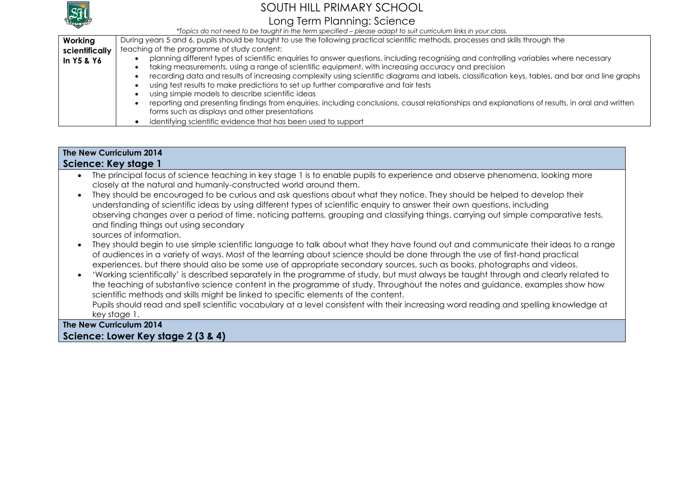

### Long Term Planning: Science

*\*Topics do not need to be taught in the term specified – please adapt to suit curriculum links in your class.*

| Working        | During years 5 and 6, pupils should be faught to use the following practical scientific methods, processes and skills through the              |  |  |  |  |
|----------------|------------------------------------------------------------------------------------------------------------------------------------------------|--|--|--|--|
| scientifically | teaching of the programme of study content:                                                                                                    |  |  |  |  |
| In Y5 & Y6     | planning different types of scientific enquiries to answer questions, including recognising and controlling variables where necessary          |  |  |  |  |
|                | taking measurements, using a range of scientific equipment, with increasing accuracy and precision                                             |  |  |  |  |
|                | recording data and results of increasing complexity using scientific diagrams and labels, classification keys, tables, and bar and line graphs |  |  |  |  |
|                | using test results to make predictions to set up further comparative and fair tests                                                            |  |  |  |  |
|                | using simple models to describe scientific ideas                                                                                               |  |  |  |  |
|                | reporting and presenting findings from enquiries, including conclusions, causal relationships and explanations of results, in oral and written |  |  |  |  |
|                | forms such as displays and other presentations                                                                                                 |  |  |  |  |
|                | identifying scientific evidence that has been used to support                                                                                  |  |  |  |  |

#### **The New Curriculum 2014 Science: Key stage 1**

- The principal focus of science teaching in key stage 1 is to enable pupils to experience and observe phenomena, looking more closely at the natural and humanly-constructed world around them.
- They should be encouraged to be curious and ask questions about what they notice. They should be helped to develop their understanding of scientific ideas by using different types of scientific enquiry to answer their own questions, including observing changes over a period of time, noticing patterns, grouping and classifying things, carrying out simple comparative tests, and finding things out using secondary sources of information.
- They should begin to use simple scientific language to talk about what they have found out and communicate their ideas to a range of audiences in a variety of ways. Most of the learning about science should be done through the use of first-hand practical experiences, but there should also be some use of appropriate secondary sources, such as books, photographs and videos.
- 'Working scientifically' is described separately in the programme of study, but must always be taught through and clearly related to the teaching of substantive science content in the programme of study. Throughout the notes and guidance, examples show how scientific methods and skills might be linked to specific elements of the content.

Pupils should read and spell scientific vocabulary at a level consistent with their increasing word reading and spelling knowledge at key stage 1.

### **The New Curriculum 2014 Science: Lower Key stage 2 (3 & 4)**